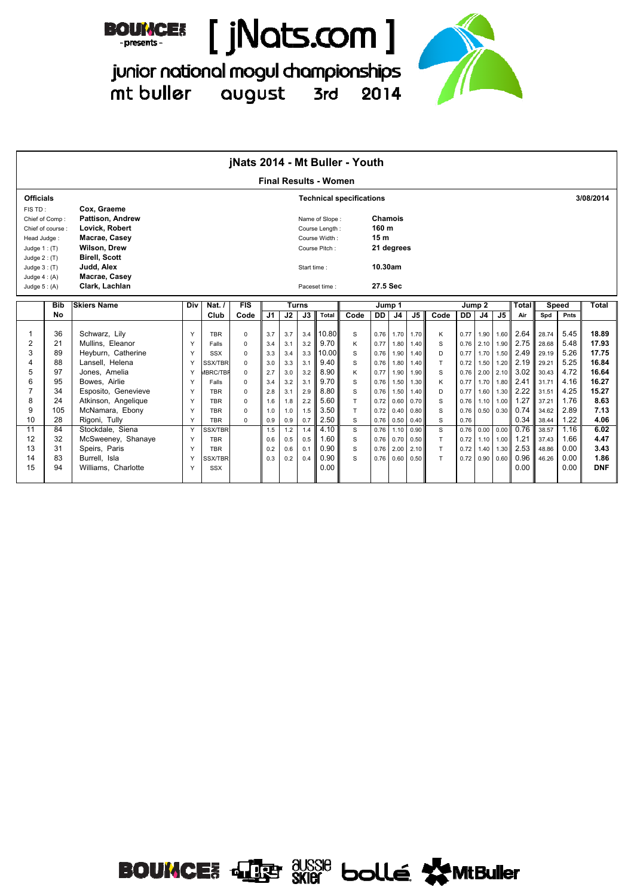



junior national mogul championships mt buller august 3rd 2014

|                  |                  |                         |     |                 |          |                |     |              |                              | jNats 2014 - Mt Buller - Youth  |                 |                |                |      |      |                   |                   |       |              |      |              |
|------------------|------------------|-------------------------|-----|-----------------|----------|----------------|-----|--------------|------------------------------|---------------------------------|-----------------|----------------|----------------|------|------|-------------------|-------------------|-------|--------------|------|--------------|
|                  |                  |                         |     |                 |          |                |     |              | <b>Final Results - Women</b> |                                 |                 |                |                |      |      |                   |                   |       |              |      |              |
| <b>Officials</b> |                  |                         |     |                 |          |                |     |              |                              | <b>Technical specifications</b> |                 |                |                |      |      |                   |                   |       |              |      | 3/08/2014    |
| FIS TD:          |                  | Cox. Graeme             |     |                 |          |                |     |              |                              |                                 |                 |                |                |      |      |                   |                   |       |              |      |              |
|                  | Chief of Comp:   | <b>Pattison. Andrew</b> |     |                 |          |                |     |              | Name of Slope:               |                                 | Chamois         |                |                |      |      |                   |                   |       |              |      |              |
|                  | Chief of course: | Lovick, Robert          |     |                 |          |                |     |              | Course Length:               |                                 | 160 m           |                |                |      |      |                   |                   |       |              |      |              |
| Head Judge:      |                  | Macrae, Casey           |     |                 |          |                |     |              | Course Width:                |                                 | 15 <sub>m</sub> |                |                |      |      |                   |                   |       |              |      |              |
| Judge $1:$ (T)   |                  | <b>Wilson, Drew</b>     |     |                 |          |                |     |              | Course Pitch:                |                                 |                 | 21 degrees     |                |      |      |                   |                   |       |              |      |              |
| Judge $2: (T)$   |                  | <b>Birell, Scott</b>    |     |                 |          |                |     |              |                              |                                 |                 |                |                |      |      |                   |                   |       |              |      |              |
| Judge $3:$ (T)   |                  | Judd, Alex              |     |                 |          |                |     | Start time:  |                              |                                 | 10.30am         |                |                |      |      |                   |                   |       |              |      |              |
| Judge $4: (A)$   |                  | Macrae, Casey           |     |                 |          |                |     |              |                              |                                 | 27.5 Sec        |                |                |      |      |                   |                   |       |              |      |              |
| Judge $5: (A)$   |                  | Clark, Lachlan          |     |                 |          |                |     |              | Paceset time:                |                                 |                 |                |                |      |      |                   |                   |       |              |      |              |
|                  | <b>Bib</b>       | <b>Skiers Name</b>      | Div | Nat. $/$        | FIS      |                |     | <b>Turns</b> |                              |                                 |                 | Jump 1         |                |      |      | Jump <sub>2</sub> |                   | Total | <b>Speed</b> |      | <b>Total</b> |
|                  | <b>No</b>        |                         |     | Club            | Code     | J <sub>1</sub> | J2  | J3           | Total                        | Code                            | DD I            | J <sub>4</sub> | J <sub>5</sub> | Code | DD   | J <sub>4</sub>    | J5                | Air   | Spd          | Pnts |              |
|                  |                  |                         |     |                 |          |                |     |              |                              |                                 |                 |                |                |      |      |                   |                   |       |              |      |              |
| $\mathbf{1}$     | 36               | Schwarz, Lily           | Y   | <b>TBR</b>      | $\Omega$ | 3.7            | 3.7 | 3.4          | 10.80                        | S                               | 0.76            | 1.70           | 1.70           | K    | 0.77 | 1.90              | 1.60              | 2.64  | 28.74        | 5.45 | 18.89        |
| $\overline{2}$   | 21               | Mullins, Eleanor        | Y   | Falls           | $\Omega$ | 3.4            | 3.1 | 3.2          | 9.70                         | K                               | 0.77            | 1.80           | 1.40           | S    | 0.76 | 2.10              | 1.90              | 2.75  | 28.68        | 5.48 | 17.93        |
| 3                | 89               | Heyburn, Catherine      | Y   | <b>SSX</b>      | $\Omega$ | 3.3            | 3.4 | 3.3          | 10.00                        | S                               | 0.76            | 1.90           | 1.40           | D    | 0.77 | 1.70              | 1.50              | 2.49  | 29.19        | 5.26 | 17.75        |
| $\overline{4}$   | 88               | Lansell, Helena         | Y   | <b>SSX/TBR</b>  | $\Omega$ | 3.0            | 3.3 | 3.1          | 9.40                         | S                               | 0.76            | 1.80           | 1.40           | T    | 0.72 | 1.50              | 1.20              | 2.19  | 29.21        | 5.25 | 16.84        |
| 5                | 97               | Jones, Amelia           | Y   | <b>JBRC/TBF</b> | $\Omega$ | 2.7            | 3.0 | 3.2          | 8.90                         | K                               | 0.77            | 1.90           | 1.90           | S    | 0.76 | 2.00              | 2.10              | 3.02  | 30.43        | 4.72 | 16.64        |
| 6                | 95               | Bowes, Airlie           | Y   | Falls           | $\Omega$ | 3.4            | 3.2 | 3.1          | 9.70                         | S                               | 0.76            | 1.50           | 1.30           | K    | 0.77 | 1.70              | 1.80              | 2.41  | 31.71        | 4.16 | 16.27        |
| $\overline{7}$   | 34               | Esposito, Genevieve     | Y   | <b>TBR</b>      | $\Omega$ | 2.8            | 3.1 | 2.9          | 8.80                         | S                               | 0.76            | 1.50           | 1.40           | D    | 0.77 | 1.60              | 1.30              | 2.22  | 31.51        | 4.25 | 15.27        |
| 8                | 24               | Atkinson, Angelique     | Y   | <b>TBR</b>      | $\Omega$ | 1.6            | 1.8 | 2.2          | 5.60                         | T.                              | 0.72            | 0.60           | 0.70           | S    | 0.76 | 1.10              | 1.00              | 1.27  | 37.21        | 1.76 | 8.63         |
| 9                | 105              | McNamara, Ebony         | Y   | <b>TBR</b>      | $\Omega$ | 1.0            | 1.0 | 1.5          | 3.50                         | T                               | 0.72            | 0.40           | 0.80           | S    | 0.76 |                   | $0.50 \quad 0.30$ | 0.74  | 34.62        | 2.89 | 7.13         |
| 10               | 28               | Rigoni, Tully           | Y   | <b>TBR</b>      | $\Omega$ | 0.9            | 0.9 | 0.7          | 2.50                         | S                               | 0.76            | 0.50           | 0.40           | S    | 0.76 |                   |                   | 0.34  | 38.44        | 1.22 | 4.06         |
| 11               | 84               | Stockdale, Siena        | Y   | <b>SSX/TBR</b>  |          | 1.5            | 1.2 | 1.4          | 4.10                         | S                               | 0.76            | 1.10           | 0.90           | S.   | 0.76 |                   | 0.00 0.00         | 0.76  | 38.57        | 1.16 | 6.02         |
| 12               | 32               | McSweeney, Shanaye      | Y   | <b>TBR</b>      |          | 0.6            | 0.5 | 0.5          | 1.60                         | S                               | 0.76            | 0.70           | 0.50           | T.   | 0.72 | 1.10              | 1.00              | 1.21  | 37.43        | 1.66 | 4.47         |
| 13               | 31               | Speirs, Paris           | Y   | <b>TBR</b>      |          | 0.2            | 0.6 | 0.1          | 0.90                         | S                               | 0.76            | 2.00           | 2.10           | T    | 0.72 | 1.40              | 1.30              | 2.53  | 48.86        | 0.00 | 3.43         |
| 14               | 83               | Burrell, Isla           | Y   | <b>SSX/TBR</b>  |          | 0.3            | 0.2 | 0.4          | 0.90                         | S.                              | 0.76            | 0.60           | 0.50           | T    | 0.72 | 0.90              | 0.60              | 0.96  | 46.26        | 0.00 | 1.86         |
| 15               | 94               | Williams, Charlotte     | Y   | SSX             |          |                |     |              | 0.00                         |                                 |                 |                |                |      |      |                   |                   | 0.00  |              | 0.00 | <b>DNF</b>   |
|                  |                  |                         |     |                 |          |                |     |              |                              |                                 |                 |                |                |      |      |                   |                   |       |              |      |              |

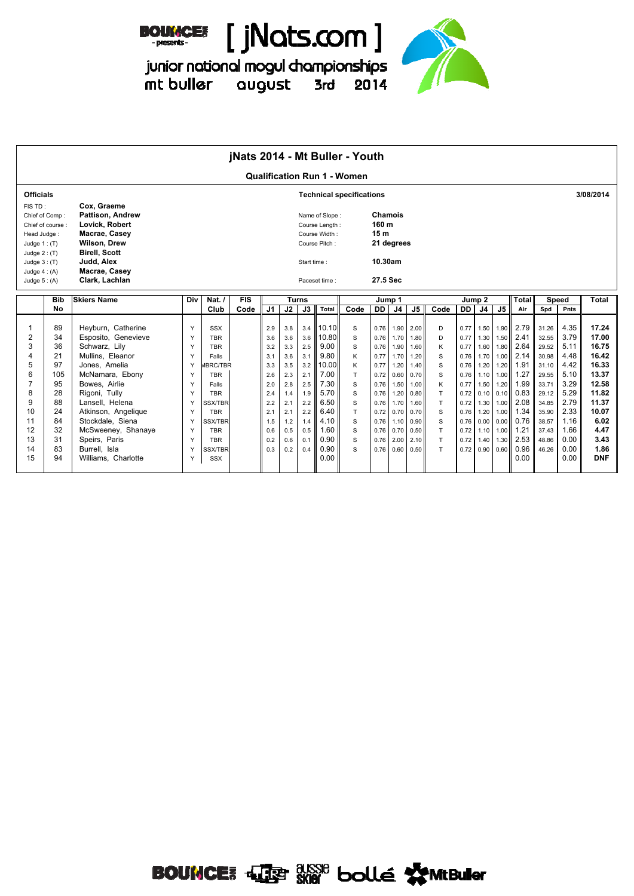



=<br>junior national mogul championships<br>mt buller august 3rd 2014



|                                                                                                                  |                                                                                         |                                                                                                                                                                                                                                                                                                   |                                                                         |                                                                                                                                                                                                                       | jNats 2014 - Mt Buller - Youth |                                                                                                |                                                                                                |                                                                                                |                                                                                                                         |                                                                       |                                                                                                              |                                                                                                              |                                                                                                              |                                                                       |                                                                                                              |                                                                                                              |                                                                                                              |                                                                                                                      |                                                                                                                            |                                                                                                                      |                                                                                                                                      |
|------------------------------------------------------------------------------------------------------------------|-----------------------------------------------------------------------------------------|---------------------------------------------------------------------------------------------------------------------------------------------------------------------------------------------------------------------------------------------------------------------------------------------------|-------------------------------------------------------------------------|-----------------------------------------------------------------------------------------------------------------------------------------------------------------------------------------------------------------------|--------------------------------|------------------------------------------------------------------------------------------------|------------------------------------------------------------------------------------------------|------------------------------------------------------------------------------------------------|-------------------------------------------------------------------------------------------------------------------------|-----------------------------------------------------------------------|--------------------------------------------------------------------------------------------------------------|--------------------------------------------------------------------------------------------------------------|--------------------------------------------------------------------------------------------------------------|-----------------------------------------------------------------------|--------------------------------------------------------------------------------------------------------------|--------------------------------------------------------------------------------------------------------------|--------------------------------------------------------------------------------------------------------------|----------------------------------------------------------------------------------------------------------------------|----------------------------------------------------------------------------------------------------------------------------|----------------------------------------------------------------------------------------------------------------------|--------------------------------------------------------------------------------------------------------------------------------------|
|                                                                                                                  |                                                                                         |                                                                                                                                                                                                                                                                                                   |                                                                         |                                                                                                                                                                                                                       |                                |                                                                                                |                                                                                                |                                                                                                |                                                                                                                         | <b>Qualification Run 1 - Women</b>                                    |                                                                                                              |                                                                                                              |                                                                                                              |                                                                       |                                                                                                              |                                                                                                              |                                                                                                              |                                                                                                                      |                                                                                                                            |                                                                                                                      |                                                                                                                                      |
| <b>Officials</b>                                                                                                 |                                                                                         |                                                                                                                                                                                                                                                                                                   |                                                                         |                                                                                                                                                                                                                       |                                |                                                                                                |                                                                                                |                                                                                                |                                                                                                                         | <b>Technical specifications</b>                                       |                                                                                                              |                                                                                                              |                                                                                                              |                                                                       |                                                                                                              |                                                                                                              |                                                                                                              |                                                                                                                      |                                                                                                                            |                                                                                                                      | 3/08/2014                                                                                                                            |
| FIS TD:<br>Head Judge:<br>Judge $1:$ (T)<br>Judge $2:$ (T)<br>Judge $3:$ (T)<br>Judge $4: (A)$<br>Judge $5: (A)$ | Chief of Comp:<br>Chief of course:                                                      | Cox, Graeme<br><b>Pattison. Andrew</b><br>Lovick, Robert<br>Macrae, Casey<br><b>Wilson, Drew</b><br><b>Birell, Scott</b><br>Judd, Alex<br>Macrae, Casey<br>Clark, Lachlan                                                                                                                         |                                                                         |                                                                                                                                                                                                                       |                                |                                                                                                |                                                                                                | Start time:                                                                                    | Name of Slope:<br>Course Length:<br>Course Width:<br>Course Pitch:<br>Paceset time :                                    |                                                                       | <b>Chamois</b><br>160 m<br>15 <sub>m</sub><br>10.30am<br>27.5 Sec                                            | 21 degrees                                                                                                   |                                                                                                              |                                                                       |                                                                                                              |                                                                                                              |                                                                                                              |                                                                                                                      |                                                                                                                            |                                                                                                                      |                                                                                                                                      |
|                                                                                                                  | <b>Bib</b>                                                                              | <b>Skiers Name</b>                                                                                                                                                                                                                                                                                | Div                                                                     | Nat. $\sqrt{ }$                                                                                                                                                                                                       | <b>FIS</b>                     |                                                                                                |                                                                                                | <b>Turns</b>                                                                                   |                                                                                                                         |                                                                       |                                                                                                              | Jump 1                                                                                                       |                                                                                                              |                                                                       | Jump 2                                                                                                       |                                                                                                              |                                                                                                              | <b>Total</b>                                                                                                         |                                                                                                                            | <b>Speed</b>                                                                                                         | Total                                                                                                                                |
|                                                                                                                  | No                                                                                      |                                                                                                                                                                                                                                                                                                   |                                                                         | Club                                                                                                                                                                                                                  | Code                           | J <sub>1</sub>                                                                                 | J2                                                                                             | J3                                                                                             | Total                                                                                                                   | Code                                                                  | <b>DD</b>                                                                                                    | J <sub>4</sub>                                                                                               | J5                                                                                                           | Code                                                                  | <b>DD</b>                                                                                                    | J <sub>4</sub>                                                                                               | J <sub>5</sub>                                                                                               | Air                                                                                                                  | Spd                                                                                                                        | Pnts                                                                                                                 |                                                                                                                                      |
| $\overline{2}$<br>3<br>4<br>5<br>6<br>8<br>9<br>10<br>11<br>12<br>13<br>14<br>15                                 | 89<br>34<br>36<br>21<br>97<br>105<br>95<br>28<br>88<br>24<br>84<br>32<br>31<br>83<br>94 | Heyburn, Catherine<br>Esposito, Genevieve<br>Schwarz, Lily<br>Mullins, Eleanor<br>Jones, Amelia<br>McNamara, Ebony<br>Bowes, Airlie<br>Rigoni, Tully<br>Lansell, Helena<br>Atkinson, Angelique<br>Stockdale, Siena<br>McSweeney, Shanaye<br>Speirs, Paris<br>Burrell, Isla<br>Williams. Charlotte | Y<br>Y<br>Y<br>Y<br>Y<br>Y<br>Y<br>Y<br>Y<br>Y<br>Y<br>Y<br>Y<br>Y<br>Y | <b>SSX</b><br><b>TBR</b><br><b>TBR</b><br>Falls<br><b>IBRC/TBR</b><br><b>TBR</b><br>Falls<br><b>TBR</b><br><b>SSX/TBR</b><br><b>TBR</b><br><b>SSX/TBR</b><br><b>TBR</b><br><b>TBR</b><br><b>SSX/TBR</b><br><b>SSX</b> |                                | 2.9<br>3.6<br>3.2<br>3.1<br>3.3<br>2.6<br>2.0<br>2.4<br>2.2<br>2.1<br>1.5<br>0.6<br>0.2<br>0.3 | 3.8<br>3.6<br>3.3<br>3.6<br>3.5<br>2.3<br>2.8<br>1.4<br>2.1<br>2.1<br>1.2<br>0.5<br>0.6<br>0.2 | 3.4<br>3.6<br>2.5<br>3.1<br>3.2<br>2.1<br>2.5<br>1.9<br>2.2<br>2.2<br>1.4<br>0.5<br>0.1<br>0.4 | 10.10<br>10.80<br>9.00<br>9.80<br>10.00<br>7.00<br>7.30<br>5.70<br>6.50<br>6.40<br>4.10<br>1.60<br>0.90<br>0.90<br>0.00 | S<br>S<br>S<br>K<br>K<br>T.<br>S<br>S<br>S<br>T.<br>S<br>S<br>S<br>S. | 0.76<br>0.76<br>0.76<br>0.77<br>0.77<br>0.72<br>0.76<br>0.76<br>0.76<br>0.72<br>0.76<br>0.76<br>0.76<br>0.76 | 1.90<br>1.70<br>1.90<br>1.70<br>1.20<br>0.60<br>1.50<br>1.20<br>1.70<br>0.70<br>1.10<br>0.70<br>2.00<br>0.60 | 2.00<br>1.80<br>1.60<br>1.20<br>1.40<br>0.70<br>1.00<br>0.80<br>1.60<br>0.70<br>0.90<br>0.50<br>2.10<br>0.50 | D<br>D<br>K<br>S<br>S<br>S<br>Κ<br>T<br>T.<br>S<br>S<br>T.<br>T.<br>T | 0.77<br>0.77<br>0.77<br>0.76<br>0.76<br>0.76<br>0.77<br>0.72<br>0.72<br>0.76<br>0.76<br>0.72<br>0.72<br>0.72 | 1.50<br>1.30<br>1.60<br>1.70<br>1.20<br>1.10<br>1.50<br>0.10<br>1.30<br>1.20<br>0.00<br>1.10<br>1.40<br>0.90 | 1.90<br>1.50<br>1.80<br>1.00<br>1.20<br>1.00<br>1.20<br>0.10<br>1.00<br>1.00<br>0.00<br>1.00<br>1.30<br>0.60 | 2.79<br>2.41<br>2.64<br>2.14<br>1.91<br>1.27<br>1.99<br>0.83<br>2.08<br>1.34<br>0.76<br>1.21<br>2.53<br>0.96<br>0.00 | 31.26<br>32.55<br>29.52<br>30.98<br>31.10<br>29.55<br>33.71<br>29.12<br>34.85<br>35.90<br>38.57<br>37.43<br>48.86<br>46.26 | 4.35<br>3.79<br>5.11<br>4.48<br>4.42<br>5.10<br>3.29<br>5.29<br>2.79<br>2.33<br>1.16<br>1.66<br>0.00<br>0.00<br>0.00 | 17.24<br>17.00<br>16.75<br>16.42<br>16.33<br>13.37<br>12.58<br>11.82<br>11.37<br>10.07<br>6.02<br>4.47<br>3.43<br>1.86<br><b>DNF</b> |

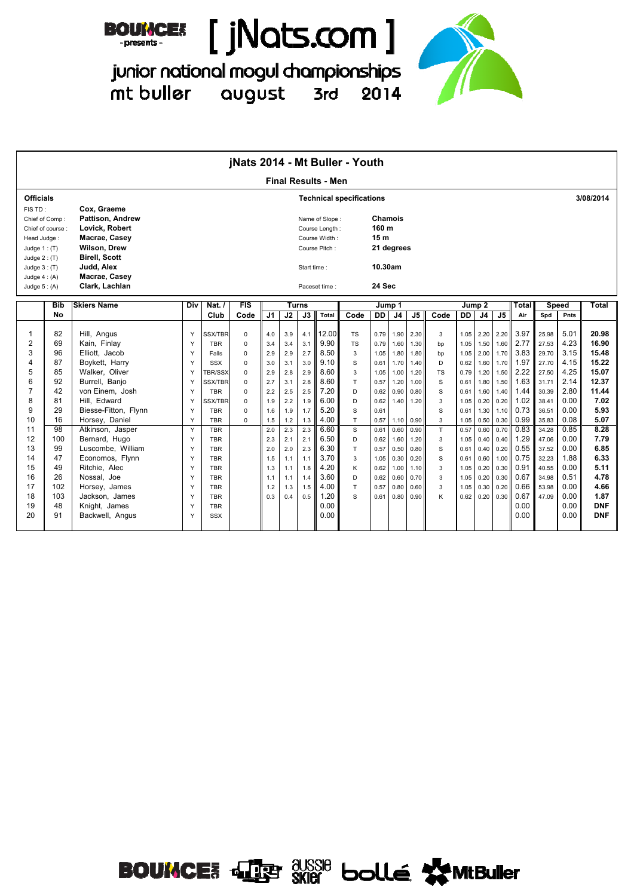



junior national mogul championships mt buller august 3rd 2014

|                                                                              |                                    |                                                                                                                                 |             |                                        |                            |                   |                   |                   |                                                                    | jNats 2014 - Mt Buller - Youth  |                                                              |                      |                      |                |                      |                      |                      |                      |                         |                      |                                  |
|------------------------------------------------------------------------------|------------------------------------|---------------------------------------------------------------------------------------------------------------------------------|-------------|----------------------------------------|----------------------------|-------------------|-------------------|-------------------|--------------------------------------------------------------------|---------------------------------|--------------------------------------------------------------|----------------------|----------------------|----------------|----------------------|----------------------|----------------------|----------------------|-------------------------|----------------------|----------------------------------|
|                                                                              |                                    |                                                                                                                                 |             |                                        |                            |                   |                   |                   | <b>Final Results - Men</b>                                         |                                 |                                                              |                      |                      |                |                      |                      |                      |                      |                         |                      |                                  |
| <b>Officials</b>                                                             |                                    |                                                                                                                                 |             |                                        |                            |                   |                   |                   |                                                                    | <b>Technical specifications</b> |                                                              |                      |                      |                |                      |                      |                      |                      |                         |                      | 3/08/2014                        |
| FIS TD:<br>Head Judge:<br>Judge $1:$ (T)<br>Judge $2: (T)$<br>Judge $3:$ (T) | Chief of Comp:<br>Chief of course: | Cox. Graeme<br>Pattison, Andrew<br>Lovick, Robert<br>Macrae, Casey<br><b>Wilson, Drew</b><br><b>Birell, Scott</b><br>Judd, Alex |             |                                        |                            |                   |                   | Start time:       | Name of Slope:<br>Course Length:<br>Course Width:<br>Course Pitch: |                                 | Chamois<br>160 m<br>15 <sub>m</sub><br>21 degrees<br>10.30am |                      |                      |                |                      |                      |                      |                      |                         |                      |                                  |
| Judge $4: (A)$                                                               |                                    | Macrae, Casey                                                                                                                   |             |                                        |                            |                   |                   |                   |                                                                    |                                 |                                                              |                      |                      |                |                      |                      |                      |                      |                         |                      |                                  |
| Judge $5: (A)$                                                               |                                    | Clark, Lachlan                                                                                                                  |             |                                        |                            |                   |                   |                   | Paceset time:                                                      |                                 | 24 Sec                                                       |                      |                      |                |                      |                      |                      |                      |                         |                      |                                  |
|                                                                              | <b>Bib</b>                         | <b>Skiers Name</b>                                                                                                              | Div         | Nat. $/$                               | FIS                        |                   | Turns             |                   |                                                                    |                                 | Jump 1                                                       |                      |                      |                |                      | Jump 2               |                      | Total                |                         | Speed                | Total                            |
|                                                                              | <b>No</b>                          |                                                                                                                                 |             | Club                                   | Code                       | J <sub>1</sub>    | J2                | J3                | <b>Total</b>                                                       | Code                            | DD                                                           | J <sub>4</sub>       | J <sub>5</sub>       | Code           | DD                   | J <sub>4</sub>       | J <sub>5</sub>       | Air                  | Spd                     | Pnts                 |                                  |
| 1<br>$\overline{2}$                                                          | 82<br>69                           | Hill, Angus<br>Kain. Finlav                                                                                                     | Y<br>Y      | <b>SSX/TBR</b><br><b>TBR</b>           | $\mathbf 0$<br>$\mathbf 0$ | 4.0<br>3.4        | 3.9<br>3.4        | 4.1<br>3.1        | 12.00<br>9.90                                                      | <b>TS</b><br><b>TS</b>          | 0.79<br>0.79                                                 | 1.90<br>1.60         | 2.30<br>1.30         | 3<br>bp        | 1.05<br>1.05         | 2.20<br>1.50         | 2.20<br>1.60         | 3.97<br>2.77         | 25.98<br>27.53          | 5.01<br>4.23         | 20.98<br>16.90                   |
| 3<br>4                                                                       | 96<br>87                           | Elliott. Jacob<br>Boykett, Harry                                                                                                | Y<br>Y      | Falls<br><b>SSX</b>                    | $\mathbf 0$<br>$\mathbf 0$ | 2.9<br>3.0        | 2.9<br>3.1        | 2.7<br>3.0        | 8.50<br>9.10                                                       | 3<br>S                          | 1.05<br>0.61                                                 | 1.80<br>1.70         | 1.80<br>1.40         | bp<br>D        | 1.05<br>0.62         | 2.00<br>1.60         | 1.70<br>1.70         | 3.83<br>1.97         | 29.70<br>27.70          | 3.15<br>4.15         | 15.48<br>15.22                   |
| 5<br>6                                                                       | 85<br>92                           | Walker, Oliver<br>Burrell, Banjo                                                                                                | Y<br>Y      | <b>TBR/SSX</b><br><b>SSX/TBR</b>       | $\mathbf 0$<br>$\Omega$    | 2.9<br>2.7        | 2.8<br>3.1        | 2.9<br>2.8        | 8.60<br>8.60                                                       | 3<br>T                          | 1.05<br>0.57                                                 | 1.00<br>1.20         | 1.20<br>1.00         | <b>TS</b><br>S | 0.79<br>0.61         | 1.20<br>1.80         | 1.50<br>1.50         | 2.22<br>1.63         | 27.50<br>31.71          | 4.25<br>2.14         | 15.07<br>12.37                   |
| $\overline{7}$<br>8                                                          | 42<br>81                           | von Einem. Josh<br>Hill, Edward                                                                                                 | Y<br>Y      | <b>TBR</b><br><b>SSX/TBR</b>           | $\Omega$<br>$\Omega$       | 2.2<br>1.9        | 2.5<br>2.2        | 2.5<br>1.9        | 7.20<br>6.00                                                       | D<br>D                          | 0.62<br>0.62                                                 | 0.90<br>1.40         | 0.80<br>1.20         | S<br>3         | 0.61<br>1.05         | 1.60<br>0.20         | 1.40<br>0.20         | 1.44<br>1.02         | 30.39<br>38.41          | 2.80<br>0.00         | 11.44<br>7.02                    |
| 9<br>10                                                                      | 29<br>16                           | Biesse-Fitton, Flynn<br>Horsey, Daniel                                                                                          | Y<br>Y      | <b>TBR</b><br><b>TBR</b>               | $\Omega$<br>$\Omega$       | 1.6<br>1.5        | 1.9<br>1.2        | 1.7<br>1.3        | 5.20<br>4.00                                                       | S<br>$\top$                     | 0.61<br>0.57                                                 | 1.10                 | 0.90                 | S<br>3         | 0.61<br>1.05         | 1.30<br>0.50         | 1.10<br>0.30         | 0.73<br>0.99         | 36.51<br>35.83          | 0.00<br>0.08         | 5.93<br>5.07                     |
| 11<br>12                                                                     | 98<br>100                          | Atkinson, Jasper<br>Bernard, Hugo                                                                                               | Y<br>Y      | <b>TBR</b><br><b>TBR</b>               |                            | 2.0<br>2.3        | 2.3<br>2.1        | 2.3<br>2.1        | 6.60<br>6.50                                                       | $\mathbf S$<br>D                | 0.61<br>0.62                                                 | 0.60<br>1.60         | 0.90<br>1.20         | T.<br>3        | 0.57<br>1.05         | 0.60<br>0.40         | 0.70<br>0.40         | 0.83<br>1.29         | 34.28<br>47.06          | 0.85<br>0.00         | 8.28<br>7.79                     |
| 13<br>14<br>15                                                               | 99<br>47<br>49                     | Luscombe, William<br>Economos, Flynn<br>Ritchie, Alec                                                                           | Υ<br>Y<br>Y | <b>TBR</b><br><b>TBR</b><br><b>TBR</b> |                            | 2.0<br>1.5<br>1.3 | 2.0<br>1.1<br>1.1 | 2.3<br>1.1<br>1.8 | 6.30<br>3.70<br>4.20                                               | $\top$<br>3<br>K                | 0.57<br>1.05<br>0.62                                         | 0.50<br>0.30<br>1.00 | 0.80<br>0.20<br>1.10 | S<br>S<br>3    | 0.61<br>0.61<br>1.05 | 0.40<br>0.60<br>0.20 | 0.20<br>1.00<br>0.30 | 0.55<br>0.75<br>0.91 | 37.52<br>32.23<br>40.55 | 0.00<br>1.88<br>0.00 | 6.85<br>6.33<br>5.11             |
| 16<br>17                                                                     | 26<br>102                          | Nossal. Joe<br>Horsey, James                                                                                                    | Y<br>Y      | <b>TBR</b><br><b>TBR</b>               |                            | 1.1<br>1.2        | 1.1<br>1.3        | 1.4<br>1.5        | 3.60<br>4.00                                                       | D<br>T                          | 0.62<br>0.57                                                 | 0.60<br>0.80         | 0.70<br>0.60         | 3<br>3         | 1.05<br>1.05         | 0.20<br>0.30         | 0.30<br>0.20         | 0.67<br>0.66         | 34.98<br>53.98          | 0.51<br>0.00         | 4.78<br>4.66                     |
| 18<br>19<br>20                                                               | 103<br>48<br>91                    | Jackson, James<br>Knight, James<br>Backwell, Angus                                                                              | Y<br>Y<br>Y | <b>TBR</b><br><b>TBR</b><br><b>SSX</b> |                            | 0.3               | 0.4               | 0.5               | 1.20<br>0.00<br>0.00                                               | S                               | 0.61                                                         | 0.80                 | 0.90                 | K              | 0.62                 | 0.20                 | 0.30                 | 0.67<br>0.00<br>0.00 | 47.09                   | 0.00<br>0.00<br>0.00 | 1.87<br><b>DNF</b><br><b>DNF</b> |

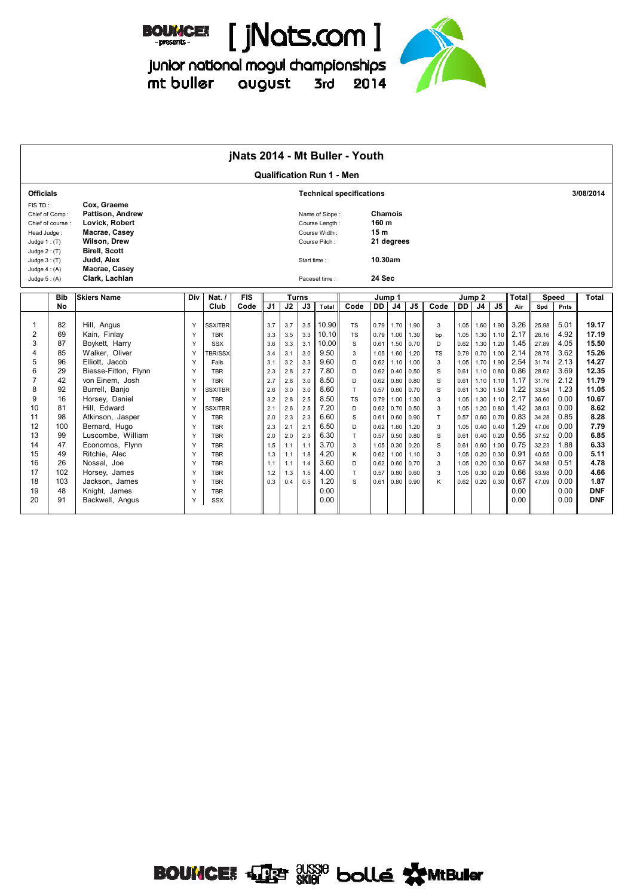



-<br>junior national mogul championships<br>mt buller august 3rd 2014



|                                                                                                                                                                                                                                                                  |                                                                                                                                                                                                                                                                                                                                                                      |                                                                                                  |                                                                                                                                                                                                                                                                                  | jNats 2014 - Mt Buller - Youth |                                                                                                                            |                                                                                                                            |                                                                                                                            |                                                                                                                                                                 |                                                                                                                                         |                                                                                                                                              |                                                                                                                                              |                                                                                                                                              |                                                                                                 |                                                                                                                                              |                                                                                                                                              |                                                                                                                                              |                                                                                                                                                              |                                                                                                                                                                |                                                                                                                                                              |                                                                                                                                                                                   |
|------------------------------------------------------------------------------------------------------------------------------------------------------------------------------------------------------------------------------------------------------------------|----------------------------------------------------------------------------------------------------------------------------------------------------------------------------------------------------------------------------------------------------------------------------------------------------------------------------------------------------------------------|--------------------------------------------------------------------------------------------------|----------------------------------------------------------------------------------------------------------------------------------------------------------------------------------------------------------------------------------------------------------------------------------|--------------------------------|----------------------------------------------------------------------------------------------------------------------------|----------------------------------------------------------------------------------------------------------------------------|----------------------------------------------------------------------------------------------------------------------------|-----------------------------------------------------------------------------------------------------------------------------------------------------------------|-----------------------------------------------------------------------------------------------------------------------------------------|----------------------------------------------------------------------------------------------------------------------------------------------|----------------------------------------------------------------------------------------------------------------------------------------------|----------------------------------------------------------------------------------------------------------------------------------------------|-------------------------------------------------------------------------------------------------|----------------------------------------------------------------------------------------------------------------------------------------------|----------------------------------------------------------------------------------------------------------------------------------------------|----------------------------------------------------------------------------------------------------------------------------------------------|--------------------------------------------------------------------------------------------------------------------------------------------------------------|----------------------------------------------------------------------------------------------------------------------------------------------------------------|--------------------------------------------------------------------------------------------------------------------------------------------------------------|-----------------------------------------------------------------------------------------------------------------------------------------------------------------------------------|
|                                                                                                                                                                                                                                                                  |                                                                                                                                                                                                                                                                                                                                                                      |                                                                                                  |                                                                                                                                                                                                                                                                                  |                                |                                                                                                                            |                                                                                                                            |                                                                                                                            | <b>Qualification Run 1 - Men</b>                                                                                                                                |                                                                                                                                         |                                                                                                                                              |                                                                                                                                              |                                                                                                                                              |                                                                                                 |                                                                                                                                              |                                                                                                                                              |                                                                                                                                              |                                                                                                                                                              |                                                                                                                                                                |                                                                                                                                                              |                                                                                                                                                                                   |
| <b>Officials</b>                                                                                                                                                                                                                                                 |                                                                                                                                                                                                                                                                                                                                                                      |                                                                                                  |                                                                                                                                                                                                                                                                                  |                                |                                                                                                                            |                                                                                                                            |                                                                                                                            |                                                                                                                                                                 | <b>Technical specifications</b>                                                                                                         |                                                                                                                                              |                                                                                                                                              |                                                                                                                                              |                                                                                                 |                                                                                                                                              |                                                                                                                                              |                                                                                                                                              |                                                                                                                                                              |                                                                                                                                                                |                                                                                                                                                              | 3/08/2014                                                                                                                                                                         |
| FIS TD:<br>Chief of Comp:<br>Chief of course:<br>Head Judge:<br>Judge $1:$ (T)<br>Judge $2:$ (T)<br>Judge $3:$ (T)<br>Judge $4:(A)$<br>Judge $5:(A)$                                                                                                             | Cox. Graeme<br>Pattison, Andrew<br>Lovick, Robert<br>Macrae, Casey<br><b>Wilson, Drew</b><br><b>Birell, Scott</b><br>Judd, Alex<br>Macrae, Casey<br>Clark, Lachlan                                                                                                                                                                                                   |                                                                                                  |                                                                                                                                                                                                                                                                                  |                                |                                                                                                                            |                                                                                                                            | Start time:                                                                                                                | Name of Slope:<br>Course Length:<br>Course Width:<br>Course Pitch:<br>Paceset time:                                                                             |                                                                                                                                         | Chamois<br>160 m<br>15 <sub>m</sub><br>10.30am<br>24 Sec                                                                                     | 21 degrees                                                                                                                                   |                                                                                                                                              |                                                                                                 |                                                                                                                                              |                                                                                                                                              |                                                                                                                                              |                                                                                                                                                              |                                                                                                                                                                |                                                                                                                                                              |                                                                                                                                                                                   |
| <b>Bib</b>                                                                                                                                                                                                                                                       | <b>Skiers Name</b>                                                                                                                                                                                                                                                                                                                                                   | Div                                                                                              | Nat. $/$                                                                                                                                                                                                                                                                         | <b>FIS</b>                     |                                                                                                                            |                                                                                                                            | <b>Turns</b>                                                                                                               |                                                                                                                                                                 |                                                                                                                                         | Jump 1                                                                                                                                       |                                                                                                                                              |                                                                                                                                              |                                                                                                 | Jump <sub>2</sub>                                                                                                                            |                                                                                                                                              |                                                                                                                                              | Total                                                                                                                                                        | <b>Speed</b>                                                                                                                                                   |                                                                                                                                                              | <b>Total</b>                                                                                                                                                                      |
| No                                                                                                                                                                                                                                                               |                                                                                                                                                                                                                                                                                                                                                                      |                                                                                                  | Club                                                                                                                                                                                                                                                                             | Code                           | J <sub>1</sub>                                                                                                             | J2                                                                                                                         | J3                                                                                                                         | Total                                                                                                                                                           | Code                                                                                                                                    | <b>DD</b>                                                                                                                                    | J <sub>4</sub>                                                                                                                               | J <sub>5</sub>                                                                                                                               | Code                                                                                            | DD                                                                                                                                           | $\overline{J4}$                                                                                                                              | J <sub>5</sub>                                                                                                                               | Air                                                                                                                                                          | Spd                                                                                                                                                            | Pnts                                                                                                                                                         |                                                                                                                                                                                   |
| 82<br>1<br>2<br>69<br>3<br>87<br>$\overline{4}$<br>85<br>5<br>96<br>6<br>29<br>$\overline{7}$<br>42<br>8<br>92<br>9<br>16<br>10<br>81<br>11<br>98<br>12<br>100<br>13<br>99<br>14<br>47<br>15<br>49<br>16<br>26<br>17<br>102<br>18<br>103<br>19<br>48<br>20<br>91 | Hill, Angus<br>Kain, Finlay<br>Boykett, Harry<br>Walker, Oliver<br>Elliott, Jacob<br>Biesse-Fitton, Flynn<br>von Einem. Josh<br>Burrell, Banjo<br>Horsey, Daniel<br>Hill, Edward<br>Atkinson, Jasper<br>Bernard, Hugo<br>Luscombe, William<br>Economos, Flynn<br>Ritchie. Alec<br>Nossal, Joe<br>Horsey, James<br>Jackson, James<br>Knight, James<br>Backwell, Angus | Y<br>Y<br>Y<br>Y<br>Y<br>Y<br>Y<br>Y<br>Y<br>Υ<br>Y<br>Y<br>Y<br>Y<br>Y<br>Y<br>Y<br>Y<br>Y<br>Y | <b>SSX/TBR</b><br><b>TBR</b><br><b>SSX</b><br><b>BR/SSX</b><br>Falls<br><b>TBR</b><br><b>TBR</b><br>SSX/TBR<br><b>TBR</b><br>SSX/TBR<br><b>TBR</b><br><b>TBR</b><br><b>TBR</b><br><b>TBR</b><br><b>TBR</b><br><b>TBR</b><br><b>TBR</b><br><b>TBR</b><br><b>TBR</b><br><b>SSX</b> |                                | 3.7<br>3.3<br>3.6<br>3.4<br>3.1<br>2.3<br>2.7<br>2.6<br>3.2<br>2.1<br>2.0<br>2.3<br>2.0<br>1.5<br>1.3<br>1.1<br>1.2<br>0.3 | 3.7<br>3.5<br>3.3<br>3.1<br>3.2<br>2.8<br>2.8<br>3.0<br>2.8<br>2.6<br>2.3<br>2.1<br>2.0<br>1.1<br>1.1<br>1.1<br>1.3<br>0.4 | 3.5<br>3.3<br>3.1<br>3.0<br>3.3<br>2.7<br>3.0<br>3.0<br>2.5<br>2.5<br>2.3<br>2.1<br>2.3<br>1.1<br>1.8<br>1.4<br>1.5<br>0.5 | 10.90<br>10.10<br>10.00<br>9.50<br>9.60<br>7.80<br>8.50<br>8.60<br>8.50<br>7.20<br>6.60<br>6.50<br>6.30<br>3.70<br>4.20<br>3.60<br>4.00<br>1.20<br>0.00<br>0.00 | <b>TS</b><br><b>TS</b><br>S<br>$\mathbf{3}$<br>D<br>D<br>D<br>T.<br><b>TS</b><br>D<br>S<br>D<br>T.<br>3<br>K<br>D<br>T.<br><sub>S</sub> | 0.79<br>0.79<br>0.61<br>1.05<br>0.62<br>0.62<br>0.62<br>0.57<br>0.79<br>0.62<br>0.61<br>0.62<br>0.57<br>1.05<br>0.62<br>0.62<br>0.57<br>0.61 | 1.70<br>1.00<br>1.50<br>1.60<br>1.10<br>0.40<br>0.80<br>0.60<br>1.00<br>0.70<br>0.60<br>1.60<br>0.50<br>0.30<br>1.00<br>0.60<br>0.80<br>0.80 | 1.90<br>1.30<br>0.70<br>1.20<br>1.00<br>0.50<br>0.80<br>0.70<br>1.30<br>0.50<br>0.90<br>1.20<br>0.80<br>0.20<br>1.10<br>0.70<br>0.60<br>0.90 | 3<br>bp<br>D<br><b>TS</b><br>3<br>S<br>S<br>S<br>3<br>3<br>T<br>3<br>S<br>S<br>3<br>3<br>3<br>K | 1.05<br>1.05<br>0.62<br>0.79<br>1.05<br>0.61<br>0.61<br>0.61<br>1.05<br>1.05<br>0.57<br>1.05<br>0.61<br>0.61<br>1.05<br>1.05<br>1.05<br>0.62 | 1.60<br>1.30<br>1.30<br>0.70<br>1.70<br>1.10<br>1.10<br>1.30<br>1.30<br>1.20<br>0.60<br>0.40<br>0.40<br>0.60<br>0.20<br>0.20<br>0.30<br>0.20 | 1.90<br>1.10<br>1.20<br>1.00<br>1.90<br>0.80<br>1.10<br>1.50<br>1.10<br>0.80<br>0.70<br>0.40<br>0.20<br>1.00<br>0.30<br>0.30<br>0.20<br>0.30 | 3.26<br>2.17<br>1.45<br>2.14<br>2.54<br>0.86<br>1.17<br>1.22<br>2.17<br>1.42<br>0.83<br>1.29<br>0.55<br>0.75<br>0.91<br>0.67<br>0.66<br>0.67<br>0.00<br>0.00 | 25.98<br>26.16<br>27.89<br>28.75<br>31.74<br>28.62<br>31.76<br>33.54<br>36.60<br>38.03<br>34.28<br>47.06<br>37.52<br>32.23<br>40.55<br>34.98<br>53.98<br>47.09 | 5.01<br>4.92<br>4.05<br>3.62<br>2.13<br>3.69<br>2.12<br>1.23<br>0.00<br>0.00<br>0.85<br>0.00<br>0.00<br>1.88<br>0.00<br>0.51<br>0.00<br>0.00<br>0.00<br>0.00 | 19.17<br>17.19<br>15.50<br>15.26<br>14.27<br>12.35<br>11.79<br>11.05<br>10.67<br>8.62<br>8.28<br>7.79<br>6.85<br>6.33<br>5.11<br>4.78<br>4.66<br>1.87<br><b>DNF</b><br><b>DNF</b> |

## **BOUNCE:** 413 SKI8 bollé WMtBuller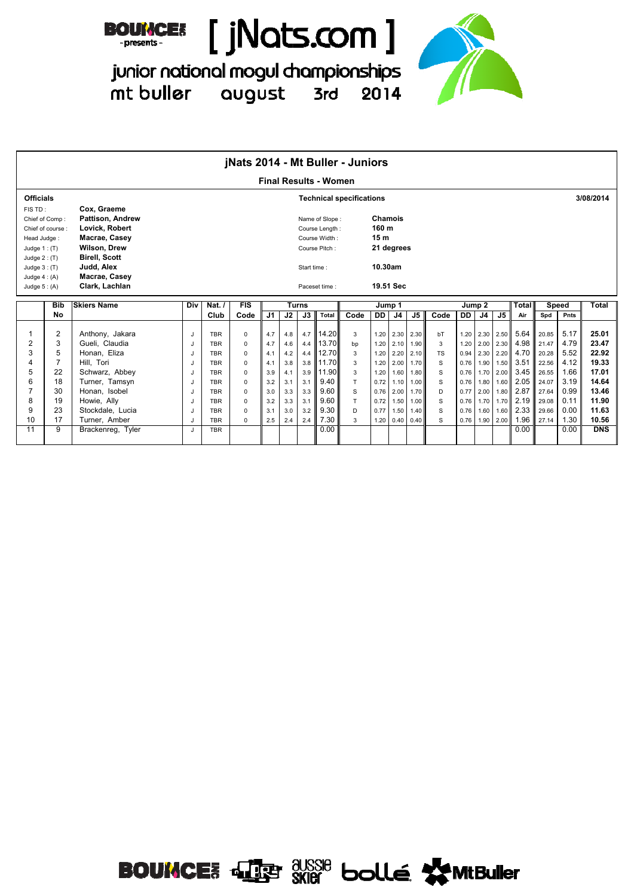



junior national mogul championships 2014 mt buller august 3rd



|                  |                  |                                           |     |                 | jNats 2014 - Mt Buller - Juniors |     |     |              |                                 |                                 |                  |                   |           |           |           |        |           |                     |       |               |            |
|------------------|------------------|-------------------------------------------|-----|-----------------|----------------------------------|-----|-----|--------------|---------------------------------|---------------------------------|------------------|-------------------|-----------|-----------|-----------|--------|-----------|---------------------|-------|---------------|------------|
|                  |                  |                                           |     |                 |                                  |     |     |              | <b>Final Results - Women</b>    |                                 |                  |                   |           |           |           |        |           |                     |       |               |            |
| <b>Officials</b> |                  |                                           |     |                 |                                  |     |     |              |                                 | <b>Technical specifications</b> |                  |                   |           |           |           |        |           |                     |       |               | 3/08/2014  |
| FIS TD:          |                  | Cox. Graeme                               |     |                 |                                  |     |     |              |                                 |                                 |                  |                   |           |           |           |        |           |                     |       |               |            |
|                  | Chief of Comp:   | <b>Pattison, Andrew</b><br>Lovick, Robert |     |                 |                                  |     |     |              | Name of Slope:                  |                                 | Chamois<br>160 m |                   |           |           |           |        |           |                     |       |               |            |
| Head Judge:      | Chief of course: | Macrae, Casey                             |     |                 |                                  |     |     |              | Course Length:<br>Course Width: |                                 | 15 <sub>m</sub>  |                   |           |           |           |        |           |                     |       |               |            |
| Judge $1:$ (T)   |                  | <b>Wilson, Drew</b>                       |     |                 |                                  |     |     |              | Course Pitch:                   |                                 |                  | 21 degrees        |           |           |           |        |           |                     |       |               |            |
| Judge $2: (T)$   |                  | <b>Birell, Scott</b>                      |     |                 |                                  |     |     |              |                                 |                                 |                  |                   |           |           |           |        |           |                     |       |               |            |
| Judge $3:$ (T)   |                  | Judd, Alex                                |     |                 |                                  |     |     | Start time:  |                                 |                                 | 10.30am          |                   |           |           |           |        |           |                     |       |               |            |
| Judge $4: (A)$   |                  | Macrae, Casey                             |     |                 |                                  |     |     |              |                                 |                                 |                  |                   |           |           |           |        |           |                     |       |               |            |
| Judge $5: (A)$   |                  | Clark, Lachlan                            |     |                 |                                  |     |     |              | Paceset time:                   |                                 |                  | 19.51 Sec         |           |           |           |        |           |                     |       |               |            |
|                  | <b>Bib</b>       | <b>Skiers Name</b>                        | Div | Nat. $\sqrt{ }$ | FIS                              |     |     | <b>Turns</b> |                                 |                                 |                  | Jump 1            |           |           |           |        |           |                     |       |               |            |
|                  |                  |                                           |     |                 |                                  |     |     |              |                                 |                                 |                  |                   |           |           |           |        |           |                     |       |               |            |
|                  | No               |                                           |     |                 |                                  |     |     |              | <b>Total</b>                    |                                 |                  |                   |           |           |           | Jump 2 |           | <b>Total</b><br>Air | Spd   | Speed<br>Pnts | Total      |
|                  |                  |                                           |     | Club            | Code                             | J1  | J2  | J3           |                                 | Code                            | <b>DD</b>        | J4                | J5        | Code      | <b>DD</b> | J4     | J5        |                     |       |               |            |
|                  | $\overline{2}$   | Anthony, Jakara                           | J   | <b>TBR</b>      | $\Omega$                         | 4.7 | 4.8 | 4.7          | 14.20                           | 3                               | 1.20             |                   | 2.30 2.30 | bT        | 1.20      |        |           | 2.30 2.50 5.64      | 20.85 | 5.17          | 25.01      |
| $\overline{2}$   | 3                | Gueli, Claudia                            | J   | <b>TBR</b>      | $\Omega$                         | 4.7 | 4.6 | 4.4          | 13.70                           | bp                              | 1.20             | 2.10              | 1.90      | 3         | 1.20      |        |           | 2.00 2.30 4.98      | 21.47 | 4.79          | 23.47      |
| 3                | 5                | Honan, Eliza                              | J   | <b>TBR</b>      | $\Omega$                         | 4.1 | 4.2 | 4.4          | 12.70                           | 3                               | 1.20             | 2.20              | 2.10      | <b>TS</b> | 0.94      |        | 2.30 2.20 | 4.70                | 20.28 | 5.52          | 22.92      |
| 4                | $\overline{7}$   | Hill. Tori                                | J   | <b>TBR</b>      | $\Omega$                         | 4.1 | 3.8 | 3.8          | 11.70                           | 3                               | 1.20             | 2.00              | 1.70      | S         | 0.76      |        |           | 1.90 1.50 3.51      | 22.56 | 4.12          | 19.33      |
| 5                | 22               | Schwarz, Abbey                            | J   | <b>TBR</b>      | $\Omega$                         | 3.9 | 4.1 | 3.9          | 11.90                           | 3                               | 1.20             | 1.60              | 1.80      | S         | 0.76      |        | 1.70 2.00 | 3.45                | 26.55 | 1.66          | 17.01      |
| 6                | 18               | Turner, Tamsyn                            | J   | <b>TBR</b>      | $\Omega$                         | 3.2 | 3.1 | 3.1          | 9.40                            | T.                              | 0.72             | 1.10              | 1.00      | S         | 0.76      |        |           | 1.80 1.60 2.05      | 24.07 | 3.19          | 14.64      |
| $\overline{7}$   | 30               | Honan, Isobel                             | J   | <b>TBR</b>      | $\Omega$                         | 3.0 | 3.3 | 3.3          | 9.60                            | S                               | 0.76             | 2.00              | 1.70      | D         | 0.77      |        |           | 2.00 1.80 2.87      | 27.64 | 0.99          | 13.46      |
| 8                | 19               | Howie, Ally                               | J   | <b>TBR</b>      | $\Omega$                         | 3.2 | 3.3 | 3.1          | 9.60                            | T                               | 0.72             | 1.50              | 1.00      | S         | 0.76      |        |           | 1.70 1.70 2.19      | 29.08 | 0.11          | 11.90      |
| 9                | 23               | Stockdale, Lucia                          | J   | <b>TBR</b>      | $\Omega$                         | 3.1 | 3.0 | 3.2          | 9.30                            | D                               | 0.77             | 1.50              | 1.40      | S         | 0.76      |        |           | 1.60 1.60 2.33      | 29.66 | 0.00          | 11.63      |
| 10               | 17               | Turner, Amber                             | J   | <b>TBR</b>      | 0                                | 2.5 | 2.4 | 2.4          | 7.30                            | 3                               | 1.20             | $0.40 \quad 0.40$ |           | S         | 0.76      |        | 1.90 2.00 | 1.96                | 27.14 | 1.30          | 10.56      |
| 11               | 9                | Brackenreg, Tyler                         | J   | <b>TBR</b>      |                                  |     |     |              | 0.00                            |                                 |                  |                   |           |           |           |        |           | 0.00                |       | 0.00          | <b>DNS</b> |

**BOUNCE:** JE SKIG bollé WMBuller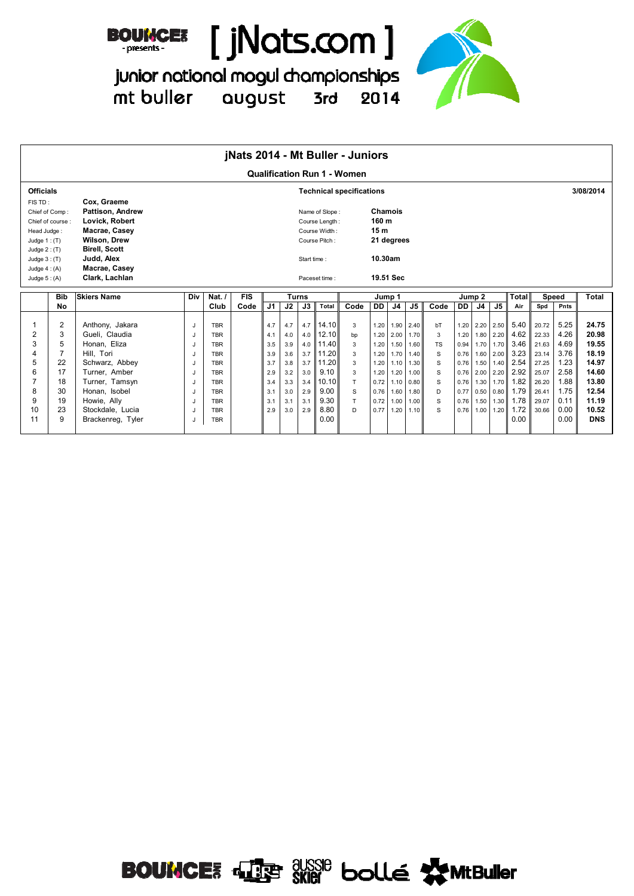



junior national mogul championships  $3rd$ mt buller august 2014



|                  |                  |                                        |     |                          | jNats 2014 - Mt Buller - Juniors |                |            |              |                |                                    |                 |                              |                |           |              |                   |               |              |                |              |                     |
|------------------|------------------|----------------------------------------|-----|--------------------------|----------------------------------|----------------|------------|--------------|----------------|------------------------------------|-----------------|------------------------------|----------------|-----------|--------------|-------------------|---------------|--------------|----------------|--------------|---------------------|
|                  |                  |                                        |     |                          |                                  |                |            |              |                | <b>Qualification Run 1 - Women</b> |                 |                              |                |           |              |                   |               |              |                |              |                     |
| <b>Officials</b> |                  |                                        |     |                          |                                  |                |            |              |                | <b>Technical specifications</b>    |                 |                              |                |           |              |                   |               |              |                |              | 3/08/2014           |
| FIS TD:          | Chief of Comp:   | Cox, Graeme<br><b>Pattison, Andrew</b> |     |                          |                                  |                |            |              | Name of Slope: |                                    | Chamois         |                              |                |           |              |                   |               |              |                |              |                     |
|                  | Chief of course: | Lovick, Robert                         |     |                          |                                  |                |            |              | Course Length: |                                    | 160 m           |                              |                |           |              |                   |               |              |                |              |                     |
| Head Judge:      |                  | Macrae, Casey                          |     |                          |                                  |                |            |              | Course Width:  |                                    | 15 <sub>m</sub> |                              |                |           |              |                   |               |              |                |              |                     |
| Judge $1:(T)$    |                  | <b>Wilson, Drew</b>                    |     |                          |                                  |                |            |              | Course Pitch:  |                                    | 21 degrees      |                              |                |           |              |                   |               |              |                |              |                     |
| Judge $2: (T)$   |                  | <b>Birell, Scott</b>                   |     |                          |                                  |                |            |              |                |                                    |                 |                              |                |           |              |                   |               |              |                |              |                     |
| Judge $3:(T)$    |                  | Judd. Alex                             |     |                          |                                  |                |            | Start time:  |                |                                    | 10.30am         |                              |                |           |              |                   |               |              |                |              |                     |
| Judge $4:(A)$    |                  | Macrae, Casey                          |     |                          |                                  |                |            |              |                |                                    |                 |                              |                |           |              |                   |               |              |                |              |                     |
| Judge $5:(A)$    |                  | Clark, Lachlan                         |     |                          |                                  |                |            |              | Paceset time:  |                                    | 19.51 Sec       |                              |                |           |              |                   |               |              |                |              |                     |
|                  | <b>Bib</b>       | <b>Skiers Name</b>                     | Div | Nat. $\sqrt{ }$          | <b>FIS</b>                       |                |            | <b>Turns</b> |                |                                    | Jump 1          |                              |                |           | Jump 2       |                   |               | <b>Total</b> |                | <b>Speed</b> | Total               |
|                  | No               |                                        |     | Club                     | Code                             | J <sub>1</sub> | J2         | J3           | Total          | Code                               | DD              | J <sub>4</sub>               | J <sub>5</sub> | Code      | DD           | J4                | $\mathsf{J}5$ | Air          | Spd            | Pnts         |                     |
|                  |                  |                                        |     |                          |                                  |                |            |              |                |                                    |                 |                              |                |           |              |                   |               |              |                |              |                     |
|                  | $\overline{2}$   |                                        |     |                          |                                  |                |            |              |                |                                    |                 |                              |                |           |              |                   |               |              |                |              |                     |
|                  |                  | Anthony, Jakara                        | J   | <b>TBR</b>               |                                  | 4.7            | 4.7        | 4.7          | 14.10          | 3                                  | 1.20            | 1.90 2.40                    |                | bT        |              | 1.20 2.20 2.50    |               | 5.40         | 20.72          | 5.25         | 24.75               |
| $\overline{2}$   | 3                | Gueli, Claudia                         | -J  | <b>TBR</b>               |                                  | 4.1            | 4.0        | 4.0          | 12.10          | bp                                 | 1.20            |                              | 2.00 1.70      | 3         | 1.20         |                   | 1.80 2.20     | 4.62         | 22.33          | 4.26         | 20.98               |
| 3                | 5                | Honan, Eliza                           | -J  | <b>TBR</b>               |                                  | 3.5            | 3.9        | 4.0          | 11.40          | 3                                  | 1.20            | 1.50                         | 1.60           | <b>TS</b> | 0.94         |                   | 1.70 1.70     | 3.46         | 21.63          | 4.69         | 19.55               |
| 4                |                  | Hill. Tori                             | J   | <b>TBR</b>               |                                  | 3.9            | 3.6        | 3.7          | 11.20          | 3                                  | 1.20            | 1.70 1.40                    |                | S         | 0.76         |                   | 1.60 2.00     | 3.23         | 23.14          | 3.76         | 18.19               |
| 5                | 22               | Schwarz, Abbey                         | IJ  | <b>TBR</b>               |                                  | 3.7            | 3.8        | 3.7          | 11.20          | 3                                  | 1.20            |                              | $1.10$ 1.30    | S         | 0.76         | 1.50 1.40         |               | 2.54         | 27.25          | 1.23         | 14.97               |
| 6                | 17<br>18         | Turner, Amber<br>Turner, Tamsyn        | J   | <b>TBR</b><br><b>TBR</b> |                                  | 2.9<br>3.4     | 3.2<br>3.3 | 3.0<br>3.4   | 9.10<br>10.10  | 3<br>T                             | 1.20<br>0.72    | $1.20$ 1.00<br>$1.10 \ 0.80$ |                | S<br>S    | 0.76<br>0.76 | 2.00 2.20<br>1.30 | 1.70          | 2.92<br>1.82 | 25.07<br>26.20 | 2.58<br>1.88 | 14.60<br>13.80      |
| 8                | 30               | Honan, Isobel                          | J   | <b>TBR</b>               |                                  | 3.1            | 3.0        | 2.9          | 9.00           | S                                  | 0.76            |                              | 1.60 1.80      | D         |              | 0.77 0.50 0.80    |               | 1.79         | 26.41          | 1.75         | 12.54               |
| 9                | 19               | Howie, Ally                            | J   | <b>TBR</b>               |                                  | 3.1            | 3.1        | 3.1          | 9.30           | T.                                 | 0.72            | $1.00$ $1.00$                |                | S         |              | 0.76 1.50 1.30    |               | 1.78         | 29.07          | 0.11         | 11.19               |
| 10<br>11         | 23<br>9          | Stockdale, Lucia                       | IJ  | <b>TBR</b>               |                                  | 2.9            | 3.0        | 2.9          | 8.80<br>0.00   | D                                  | 0.77            | $1.20$ 1.10                  |                | S         | 0.76         | 1.00              | 1.20          | 1.72<br>0.00 | 30.66          | 0.00<br>0.00 | 10.52<br><b>DNS</b> |

**BOUNCE:** 41 SKIG bolle WMtBuller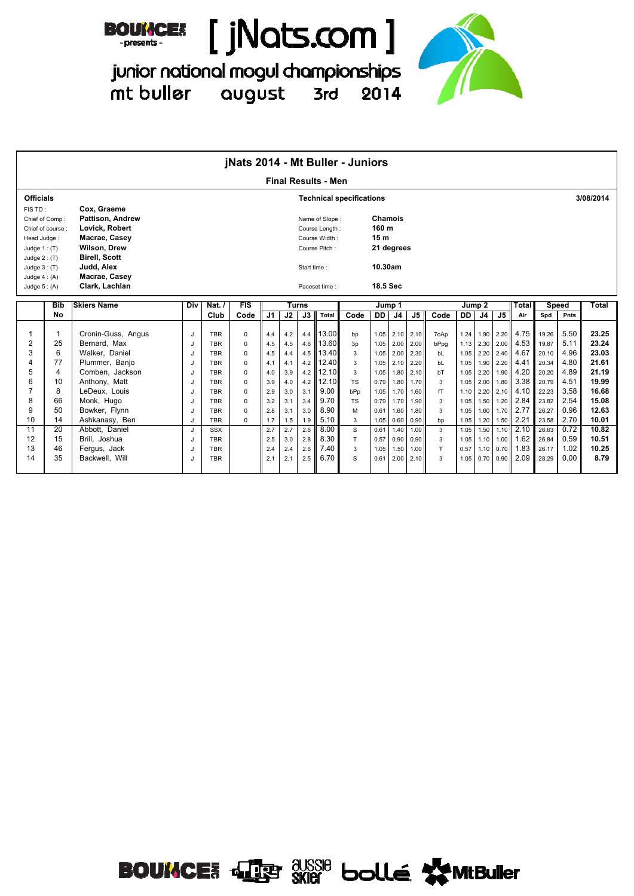



junior national mogul championships mt buller august 3rd 2014



|                                                                                                |                                    |                                                                                                                                                                           |              |            | jNats 2014 - Mt Buller - Juniors |     |     |              |                                                                    |                                 |                                                                   |                |               |      |      |                |                |       |       |      |           |
|------------------------------------------------------------------------------------------------|------------------------------------|---------------------------------------------------------------------------------------------------------------------------------------------------------------------------|--------------|------------|----------------------------------|-----|-----|--------------|--------------------------------------------------------------------|---------------------------------|-------------------------------------------------------------------|----------------|---------------|------|------|----------------|----------------|-------|-------|------|-----------|
|                                                                                                |                                    |                                                                                                                                                                           |              |            |                                  |     |     |              | <b>Final Results - Men</b>                                         |                                 |                                                                   |                |               |      |      |                |                |       |       |      |           |
| <b>Officials</b>                                                                               |                                    |                                                                                                                                                                           |              |            |                                  |     |     |              |                                                                    | <b>Technical specifications</b> |                                                                   |                |               |      |      |                |                |       |       |      | 3/08/2014 |
| FIS TD:<br>Head Judge:<br>Judge $1:$ (T)<br>Judge $2: (T)$<br>Judge $3:$ (T)<br>Judge $4: (A)$ | Chief of Comp:<br>Chief of course: | Cox, Graeme<br><b>Pattison. Andrew</b><br>Lovick, Robert<br>Macrae, Casey<br><b>Wilson, Drew</b><br><b>Birell, Scott</b><br>Judd, Alex<br>Macrae, Casey<br>Clark, Lachlan |              |            |                                  |     |     | Start time:  | Name of Slope:<br>Course Length:<br>Course Width:<br>Course Pitch: |                                 | <b>Chamois</b><br>160 m<br>15 <sub>m</sub><br>10.30am<br>18.5 Sec | 21 degrees     |               |      |      |                |                |       |       |      |           |
| Judge $5: (A)$                                                                                 |                                    |                                                                                                                                                                           |              |            |                                  |     |     |              | Paceset time:                                                      |                                 |                                                                   |                |               |      |      |                |                |       |       |      |           |
|                                                                                                | <b>Bib</b>                         | <b>Skiers Name</b>                                                                                                                                                        | Div          | Nat.       | FIS                              |     |     | <b>Turns</b> |                                                                    |                                 |                                                                   | Jump 1         |               |      |      | Jump 2         |                | Total | Speed |      | Total     |
|                                                                                                | No                                 |                                                                                                                                                                           |              | Club       | Code                             | J1  | J2  | J3           | Total                                                              | Code                            | DD                                                                | J <sub>4</sub> | $\mathsf{J}5$ | Code | DD   | J <sub>4</sub> | J <sub>5</sub> | Air   | Spd   | Pnts |           |
| 1                                                                                              | 1                                  | Cronin-Guss, Angus                                                                                                                                                        | J            | <b>TBR</b> | $\Omega$                         | 4.4 | 4.2 | 4.4          | 13.00                                                              | bp                              | 1.05                                                              | 2.10           | 2.10          | 7oAp | 1.24 | 1.90           | 2.20           | 4.75  | 19.26 | 5.50 | 23.25     |
| $\overline{2}$                                                                                 | 25                                 | Bernard. Max                                                                                                                                                              | J            | <b>TBR</b> | $\Omega$                         | 4.5 | 4.5 | 4.6          | 13.60                                                              | 3p                              | 1.05                                                              | 2.00           | 2.00          | bPpg | 1.13 | 2.30           | 2.00           | 4.53  | 19.87 | 5.11 | 23.24     |
| 3                                                                                              | 6                                  | Walker, Daniel                                                                                                                                                            | J            | <b>TBR</b> | $\Omega$                         | 4.5 | 4.4 | 4.5          | 13.40                                                              | 3                               | 1.05                                                              | 2.00           | 2.30          | bL   | 1.05 | 2.20           | 2.40           | 4.67  | 20.10 | 4.96 | 23.03     |
| 4                                                                                              | 77                                 | Plummer, Banjo                                                                                                                                                            | J            | <b>TBR</b> | $\Omega$                         | 4.1 | 4.1 | 4.2          | 12.40                                                              | 3                               | 1.05                                                              | 2.10           | 2.20          | bL   | 1.05 | 1.90           | 2.20           | 4.41  | 20.34 | 4.80 | 21.61     |
| 5                                                                                              | 4                                  | Comben. Jackson                                                                                                                                                           | J            | <b>TBR</b> | $\Omega$                         | 4.0 | 3.9 | 4.2          | 12.10                                                              | 3                               | 1.05                                                              | 1.80           | 2.10          | bT   | 1.05 | 2.20           | 1.90           | 4.20  | 20.20 | 4.89 | 21.19     |
| 6                                                                                              | 10                                 | Anthony, Matt                                                                                                                                                             | J            | <b>TBR</b> | $\Omega$                         | 3.9 | 4.0 | 4.2          | 12.10                                                              | <b>TS</b>                       | 0.79                                                              | 1.80           | 1.70          | 3    | 1.05 | 2.00           | 1.80           | 3.38  | 20.79 | 4.51 | 19.99     |
| 7                                                                                              | 8                                  | LeDeux. Louis                                                                                                                                                             | J            | <b>TBR</b> | $\mathbf 0$                      | 2.9 | 3.0 | 3.1          | 9.00                                                               | bPp                             | 1.05                                                              | 1.70           | 1.60          | fT   | 1.10 | 2.20           | 2.10           | 4.10  | 22.23 | 3.58 | 16.68     |
| 8                                                                                              | 66                                 | Monk, Hugo                                                                                                                                                                | J            | <b>TBR</b> | $\Omega$                         | 3.2 | 3.1 | 3.4          | 9.70                                                               | <b>TS</b>                       | 0.79                                                              | 1.70           | 1.90          | 3    | 1.05 | 1.50           | 1.20           | 2.84  | 23.82 | 2.54 | 15.08     |
| 9                                                                                              | 50                                 | Bowker, Flynn                                                                                                                                                             | J            | <b>TBR</b> | $\Omega$                         | 2.8 | 3.1 | 3.0          | 8.90                                                               | M                               | 0.61                                                              | 1.60           | 1.80          | 3    | 1.05 | 1.60           | 1.70           | 2.77  | 26.27 | 0.96 | 12.63     |
| 10                                                                                             | 14                                 | Ashkanasy, Ben                                                                                                                                                            | J            | <b>TBR</b> | $\Omega$                         | 1.7 | 1.5 | 1.9          | 5.10                                                               | 3                               | 1.05                                                              | 0.60           | 0.90          | bp   | 1.05 | 1.20           | 1.50           | 2.21  | 23.58 | 2.70 | 10.01     |
| 11                                                                                             | 20                                 | Abbott. Daniel                                                                                                                                                            | J            | <b>SSX</b> |                                  | 2.7 | 2.7 | 2.6          | 8.00                                                               | S                               | 0.61                                                              | 1.40           | 1.00          | 3    | 1.05 | 1.50           | 1.10           | 2.10  | 26.63 | 0.72 | 10.82     |
| 12                                                                                             | 15                                 | Brill, Joshua                                                                                                                                                             | J            | <b>TBR</b> |                                  | 2.5 | 3.0 | 2.8          | 8.30                                                               | T                               | 0.57                                                              | 0.90           | 0.90          | 3    | 1.05 | 1.10           | 1.00           | 1.62  | 26.84 | 0.59 | 10.51     |
| 13                                                                                             | 46                                 | Fergus, Jack                                                                                                                                                              | J            | <b>TBR</b> |                                  | 2.4 | 2.4 | 2.6          | 7.40                                                               | 3                               | 1.05                                                              | 1.50           | 1.00          | T    | 0.57 | 1.10           | 0.70           | 1.83  | 26.17 | 1.02 | 10.25     |
| 14                                                                                             | 35                                 | Backwell, Will                                                                                                                                                            | $\mathbf{J}$ | <b>TBR</b> |                                  | 2.1 | 2.1 | 2.5          | 6.70                                                               | S                               | 0.61                                                              | 2.00           | 2.10          | 3    | 1.05 | 0.70           | 0.90           | 2.09  | 28.29 | 0.00 | 8.79      |